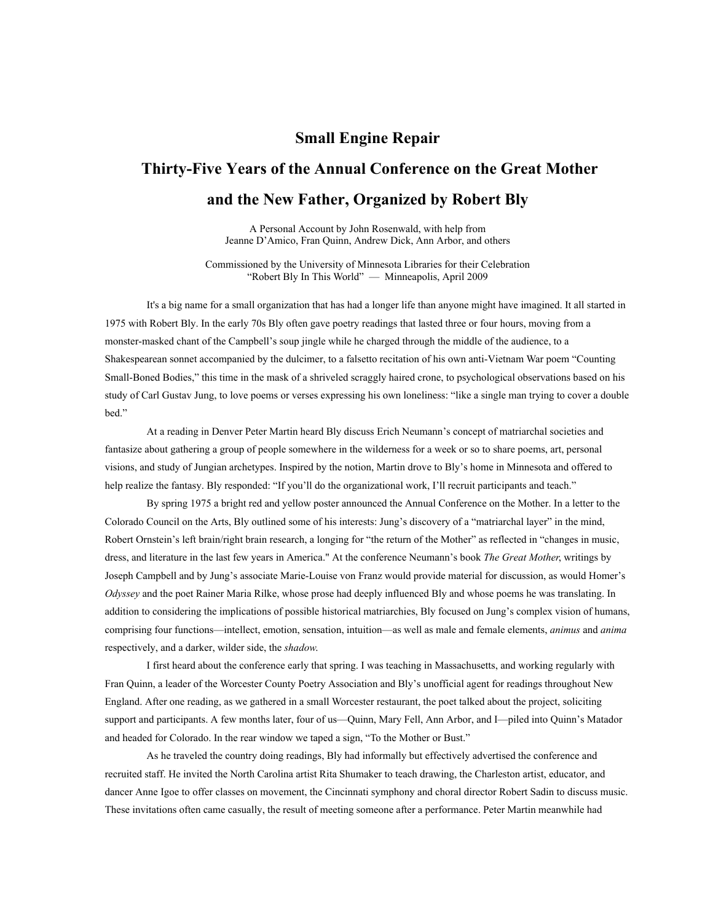## **Small Engine Repair**

## **Thirty-Five Years of the Annual Conference on the Great Mother and the New Father, Organized by Robert Bly**

A Personal Account by John Rosenwald, with help from Jeanne D'Amico, Fran Quinn, Andrew Dick, Ann Arbor, and others

Commissioned by the University of Minnesota Libraries for their Celebration "Robert Bly In This World" — Minneapolis, April 2009

It's a big name for a small organization that has had a longer life than anyone might have imagined. It all started in 1975 with Robert Bly. In the early 70s Bly often gave poetry readings that lasted three or four hours, moving from a monster-masked chant of the Campbell's soup jingle while he charged through the middle of the audience, to a Shakespearean sonnet accompanied by the dulcimer, to a falsetto recitation of his own anti-Vietnam War poem "Counting Small-Boned Bodies," this time in the mask of a shriveled scraggly haired crone, to psychological observations based on his study of Carl Gustav Jung, to love poems or verses expressing his own loneliness: "like a single man trying to cover a double bed."

At a reading in Denver Peter Martin heard Bly discuss Erich Neumann's concept of matriarchal societies and fantasize about gathering a group of people somewhere in the wilderness for a week or so to share poems, art, personal visions, and study of Jungian archetypes. Inspired by the notion, Martin drove to Bly's home in Minnesota and offered to help realize the fantasy. Bly responded: "If you'll do the organizational work, I'll recruit participants and teach."

By spring 1975 a bright red and yellow poster announced the Annual Conference on the Mother. In a letter to the Colorado Council on the Arts, Bly outlined some of his interests: Jung's discovery of a "matriarchal layer" in the mind, Robert Ornstein's left brain/right brain research, a longing for "the return of the Mother" as reflected in "changes in music, dress, and literature in the last few years in America." At the conference Neumann's book *The Great Mother*, writings by Joseph Campbell and by Jung's associate Marie-Louise von Franz would provide material for discussion, as would Homer's *Odyssey* and the poet Rainer Maria Rilke, whose prose had deeply influenced Bly and whose poems he was translating. In addition to considering the implications of possible historical matriarchies, Bly focused on Jung's complex vision of humans, comprising four functions—intellect, emotion, sensation, intuition—as well as male and female elements, *animus* and *anima*  respectively, and a darker, wilder side, the *shadow*.

I first heard about the conference early that spring. I was teaching in Massachusetts, and working regularly with Fran Quinn, a leader of the Worcester County Poetry Association and Bly's unofficial agent for readings throughout New England. After one reading, as we gathered in a small Worcester restaurant, the poet talked about the project, soliciting support and participants. A few months later, four of us—Quinn, Mary Fell, Ann Arbor, and I—piled into Quinn's Matador and headed for Colorado. In the rear window we taped a sign, "To the Mother or Bust."

As he traveled the country doing readings, Bly had informally but effectively advertised the conference and recruited staff. He invited the North Carolina artist Rita Shumaker to teach drawing, the Charleston artist, educator, and dancer Anne Igoe to offer classes on movement, the Cincinnati symphony and choral director Robert Sadin to discuss music. These invitations often came casually, the result of meeting someone after a performance. Peter Martin meanwhile had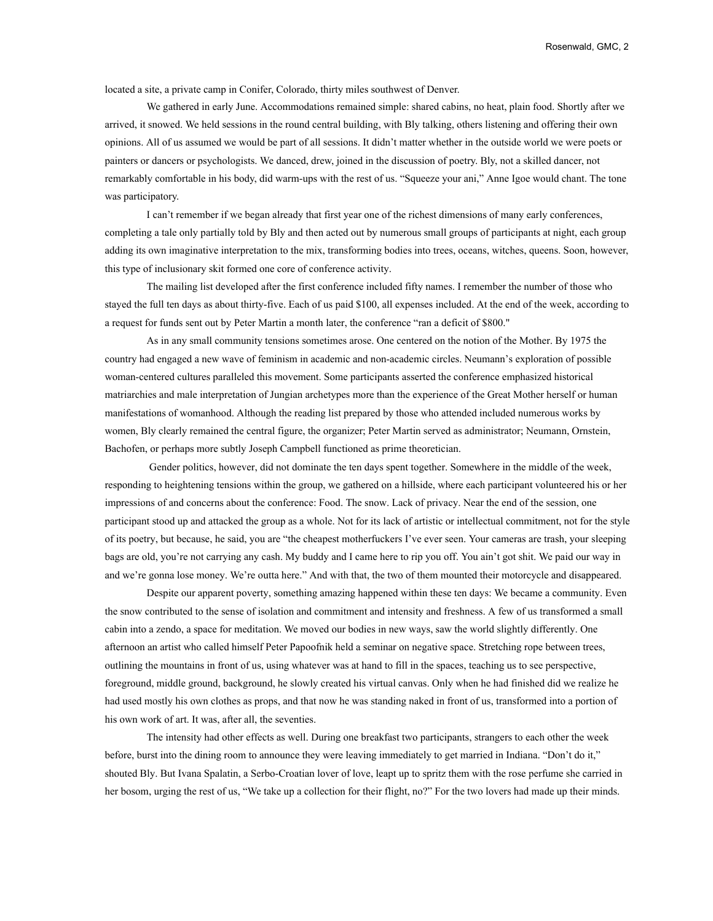located a site, a private camp in Conifer, Colorado, thirty miles southwest of Denver.

We gathered in early June. Accommodations remained simple: shared cabins, no heat, plain food. Shortly after we arrived, it snowed. We held sessions in the round central building, with Bly talking, others listening and offering their own opinions. All of us assumed we would be part of all sessions. It didn't matter whether in the outside world we were poets or painters or dancers or psychologists. We danced, drew, joined in the discussion of poetry. Bly, not a skilled dancer, not remarkably comfortable in his body, did warm-ups with the rest of us. "Squeeze your ani," Anne Igoe would chant. The tone was participatory.

I can't remember if we began already that first year one of the richest dimensions of many early conferences, completing a tale only partially told by Bly and then acted out by numerous small groups of participants at night, each group adding its own imaginative interpretation to the mix, transforming bodies into trees, oceans, witches, queens. Soon, however, this type of inclusionary skit formed one core of conference activity.

The mailing list developed after the first conference included fifty names. I remember the number of those who stayed the full ten days as about thirty-five. Each of us paid \$100, all expenses included. At the end of the week, according to a request for funds sent out by Peter Martin a month later, the conference "ran a deficit of \$800."

As in any small community tensions sometimes arose. One centered on the notion of the Mother. By 1975 the country had engaged a new wave of feminism in academic and non-academic circles. Neumann's exploration of possible woman-centered cultures paralleled this movement. Some participants asserted the conference emphasized historical matriarchies and male interpretation of Jungian archetypes more than the experience of the Great Mother herself or human manifestations of womanhood. Although the reading list prepared by those who attended included numerous works by women, Bly clearly remained the central figure, the organizer; Peter Martin served as administrator; Neumann, Ornstein, Bachofen, or perhaps more subtly Joseph Campbell functioned as prime theoretician.

 Gender politics, however, did not dominate the ten days spent together. Somewhere in the middle of the week, responding to heightening tensions within the group, we gathered on a hillside, where each participant volunteered his or her impressions of and concerns about the conference: Food. The snow. Lack of privacy. Near the end of the session, one participant stood up and attacked the group as a whole. Not for its lack of artistic or intellectual commitment, not for the style of its poetry, but because, he said, you are "the cheapest motherfuckers I've ever seen. Your cameras are trash, your sleeping bags are old, you're not carrying any cash. My buddy and I came here to rip you off. You ain't got shit. We paid our way in and we're gonna lose money. We're outta here." And with that, the two of them mounted their motorcycle and disappeared.

Despite our apparent poverty, something amazing happened within these ten days: We became a community. Even the snow contributed to the sense of isolation and commitment and intensity and freshness. A few of us transformed a small cabin into a zendo, a space for meditation. We moved our bodies in new ways, saw the world slightly differently. One afternoon an artist who called himself Peter Papoofnik held a seminar on negative space. Stretching rope between trees, outlining the mountains in front of us, using whatever was at hand to fill in the spaces, teaching us to see perspective, foreground, middle ground, background, he slowly created his virtual canvas. Only when he had finished did we realize he had used mostly his own clothes as props, and that now he was standing naked in front of us, transformed into a portion of his own work of art. It was, after all, the seventies.

The intensity had other effects as well. During one breakfast two participants, strangers to each other the week before, burst into the dining room to announce they were leaving immediately to get married in Indiana. "Don't do it," shouted Bly. But Ivana Spalatin, a Serbo-Croatian lover of love, leapt up to spritz them with the rose perfume she carried in her bosom, urging the rest of us, "We take up a collection for their flight, no?" For the two lovers had made up their minds.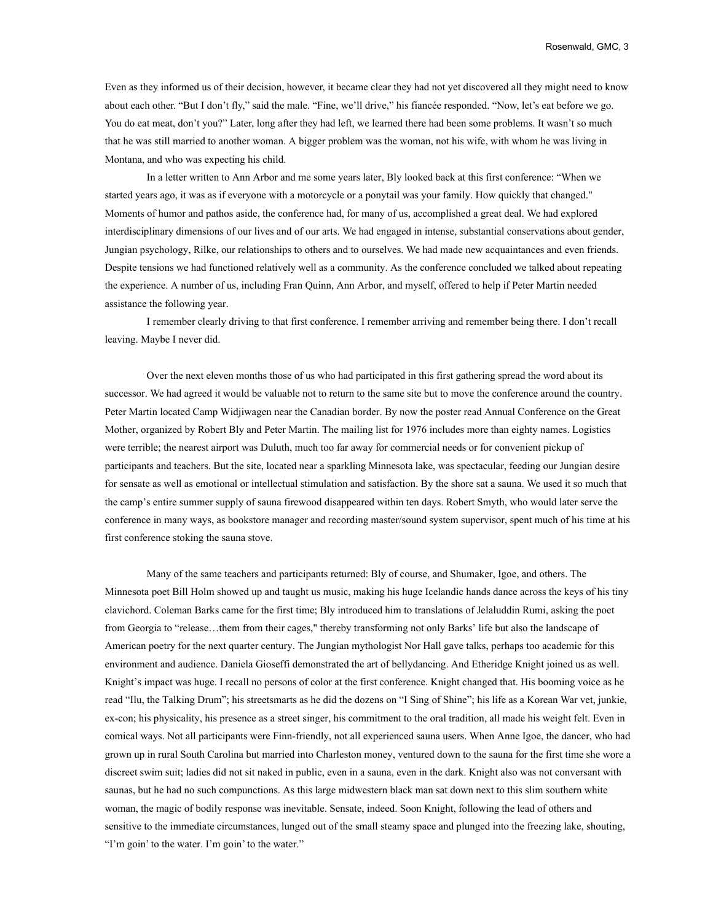Even as they informed us of their decision, however, it became clear they had not yet discovered all they might need to know about each other. "But I don't fly," said the male. "Fine, we'll drive," his fiancée responded. "Now, let's eat before we go. You do eat meat, don't you?" Later, long after they had left, we learned there had been some problems. It wasn't so much that he was still married to another woman. A bigger problem was the woman, not his wife, with whom he was living in Montana, and who was expecting his child.

In a letter written to Ann Arbor and me some years later, Bly looked back at this first conference: "When we started years ago, it was as if everyone with a motorcycle or a ponytail was your family. How quickly that changed." Moments of humor and pathos aside, the conference had, for many of us, accomplished a great deal. We had explored interdisciplinary dimensions of our lives and of our arts. We had engaged in intense, substantial conservations about gender, Jungian psychology, Rilke, our relationships to others and to ourselves. We had made new acquaintances and even friends. Despite tensions we had functioned relatively well as a community. As the conference concluded we talked about repeating the experience. A number of us, including Fran Quinn, Ann Arbor, and myself, offered to help if Peter Martin needed assistance the following year.

I remember clearly driving to that first conference. I remember arriving and remember being there. I don't recall leaving. Maybe I never did.

Over the next eleven months those of us who had participated in this first gathering spread the word about its successor. We had agreed it would be valuable not to return to the same site but to move the conference around the country. Peter Martin located Camp Widjiwagen near the Canadian border. By now the poster read Annual Conference on the Great Mother, organized by Robert Bly and Peter Martin. The mailing list for 1976 includes more than eighty names. Logistics were terrible; the nearest airport was Duluth, much too far away for commercial needs or for convenient pickup of participants and teachers. But the site, located near a sparkling Minnesota lake, was spectacular, feeding our Jungian desire for sensate as well as emotional or intellectual stimulation and satisfaction. By the shore sat a sauna. We used it so much that the camp's entire summer supply of sauna firewood disappeared within ten days. Robert Smyth, who would later serve the conference in many ways, as bookstore manager and recording master/sound system supervisor, spent much of his time at his first conference stoking the sauna stove.

Many of the same teachers and participants returned: Bly of course, and Shumaker, Igoe, and others. The Minnesota poet Bill Holm showed up and taught us music, making his huge Icelandic hands dance across the keys of his tiny clavichord. Coleman Barks came for the first time; Bly introduced him to translations of Jelaluddin Rumi, asking the poet from Georgia to "release…them from their cages," thereby transforming not only Barks' life but also the landscape of American poetry for the next quarter century. The Jungian mythologist Nor Hall gave talks, perhaps too academic for this environment and audience. Daniela Gioseffi demonstrated the art of bellydancing. And Etheridge Knight joined us as well. Knight's impact was huge. I recall no persons of color at the first conference. Knight changed that. His booming voice as he read "Ilu, the Talking Drum"; his streetsmarts as he did the dozens on "I Sing of Shine"; his life as a Korean War vet, junkie, ex-con; his physicality, his presence as a street singer, his commitment to the oral tradition, all made his weight felt. Even in comical ways. Not all participants were Finn-friendly, not all experienced sauna users. When Anne Igoe, the dancer, who had grown up in rural South Carolina but married into Charleston money, ventured down to the sauna for the first time she wore a discreet swim suit; ladies did not sit naked in public, even in a sauna, even in the dark. Knight also was not conversant with saunas, but he had no such compunctions. As this large midwestern black man sat down next to this slim southern white woman, the magic of bodily response was inevitable. Sensate, indeed. Soon Knight, following the lead of others and sensitive to the immediate circumstances, lunged out of the small steamy space and plunged into the freezing lake, shouting, "I'm goin' to the water. I'm goin' to the water."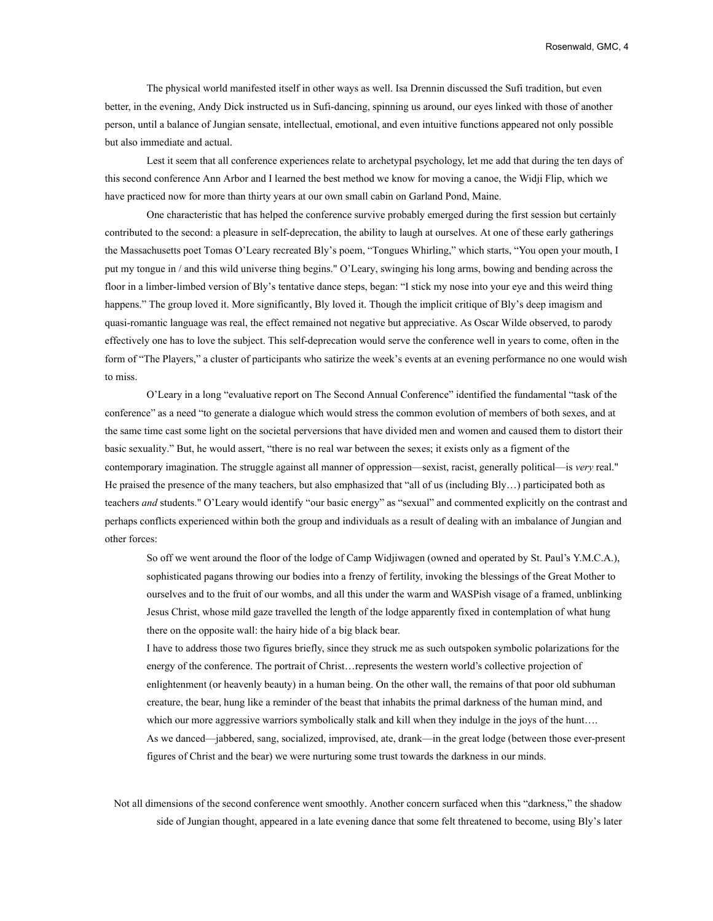The physical world manifested itself in other ways as well. Isa Drennin discussed the Sufi tradition, but even better, in the evening, Andy Dick instructed us in Sufi-dancing, spinning us around, our eyes linked with those of another person, until a balance of Jungian sensate, intellectual, emotional, and even intuitive functions appeared not only possible but also immediate and actual.

Lest it seem that all conference experiences relate to archetypal psychology, let me add that during the ten days of this second conference Ann Arbor and I learned the best method we know for moving a canoe, the Widji Flip, which we have practiced now for more than thirty years at our own small cabin on Garland Pond, Maine.

One characteristic that has helped the conference survive probably emerged during the first session but certainly contributed to the second: a pleasure in self-deprecation, the ability to laugh at ourselves. At one of these early gatherings the Massachusetts poet Tomas O'Leary recreated Bly's poem, "Tongues Whirling," which starts, "You open your mouth, I put my tongue in / and this wild universe thing begins." O'Leary, swinging his long arms, bowing and bending across the floor in a limber-limbed version of Bly's tentative dance steps, began: "I stick my nose into your eye and this weird thing happens." The group loved it. More significantly, Bly loved it. Though the implicit critique of Bly's deep imagism and quasi-romantic language was real, the effect remained not negative but appreciative. As Oscar Wilde observed, to parody effectively one has to love the subject. This self-deprecation would serve the conference well in years to come, often in the form of "The Players," a cluster of participants who satirize the week's events at an evening performance no one would wish to miss.

O'Leary in a long "evaluative report on The Second Annual Conference" identified the fundamental "task of the conference" as a need "to generate a dialogue which would stress the common evolution of members of both sexes, and at the same time cast some light on the societal perversions that have divided men and women and caused them to distort their basic sexuality." But, he would assert, "there is no real war between the sexes; it exists only as a figment of the contemporary imagination. The struggle against all manner of oppression—sexist, racist, generally political—is *very* real." He praised the presence of the many teachers, but also emphasized that "all of us (including Bly…) participated both as teachers *and* students." O'Leary would identify "our basic energy" as "sexual" and commented explicitly on the contrast and perhaps conflicts experienced within both the group and individuals as a result of dealing with an imbalance of Jungian and other forces:

So off we went around the floor of the lodge of Camp Widjiwagen (owned and operated by St. Paul's Y.M.C.A.), sophisticated pagans throwing our bodies into a frenzy of fertility, invoking the blessings of the Great Mother to ourselves and to the fruit of our wombs, and all this under the warm and WASPish visage of a framed, unblinking Jesus Christ, whose mild gaze travelled the length of the lodge apparently fixed in contemplation of what hung there on the opposite wall: the hairy hide of a big black bear.

I have to address those two figures briefly, since they struck me as such outspoken symbolic polarizations for the energy of the conference. The portrait of Christ…represents the western world's collective projection of enlightenment (or heavenly beauty) in a human being. On the other wall, the remains of that poor old subhuman creature, the bear, hung like a reminder of the beast that inhabits the primal darkness of the human mind, and which our more aggressive warriors symbolically stalk and kill when they indulge in the joys of the hunt.... As we danced—jabbered, sang, socialized, improvised, ate, drank—in the great lodge (between those ever-present figures of Christ and the bear) we were nurturing some trust towards the darkness in our minds.

Not all dimensions of the second conference went smoothly. Another concern surfaced when this "darkness," the shadow side of Jungian thought, appeared in a late evening dance that some felt threatened to become, using Bly's later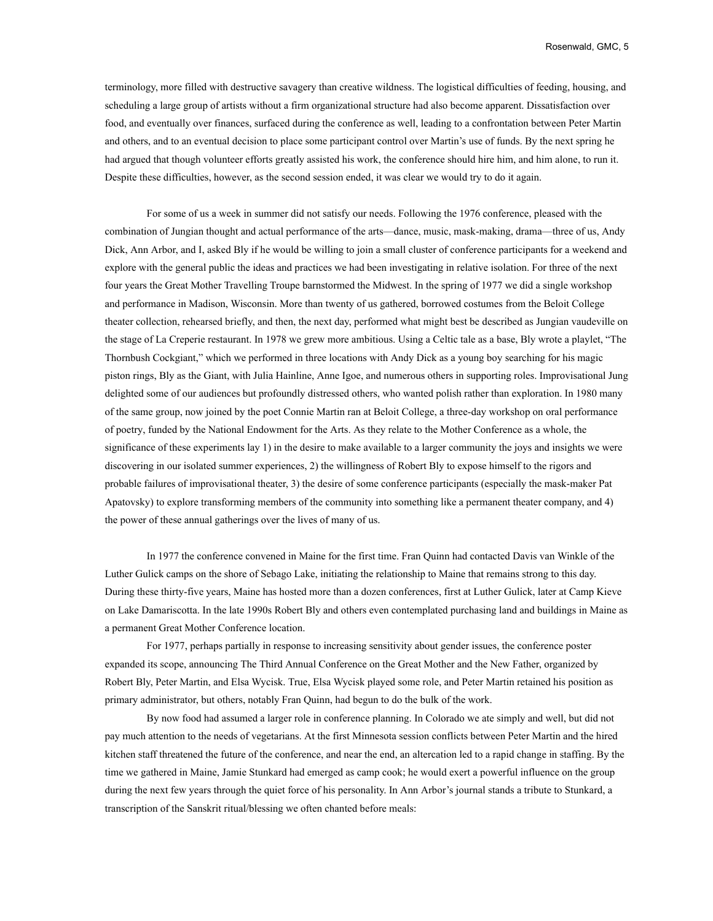terminology, more filled with destructive savagery than creative wildness. The logistical difficulties of feeding, housing, and scheduling a large group of artists without a firm organizational structure had also become apparent. Dissatisfaction over food, and eventually over finances, surfaced during the conference as well, leading to a confrontation between Peter Martin and others, and to an eventual decision to place some participant control over Martin's use of funds. By the next spring he had argued that though volunteer efforts greatly assisted his work, the conference should hire him, and him alone, to run it. Despite these difficulties, however, as the second session ended, it was clear we would try to do it again.

For some of us a week in summer did not satisfy our needs. Following the 1976 conference, pleased with the combination of Jungian thought and actual performance of the arts—dance, music, mask-making, drama—three of us, Andy Dick, Ann Arbor, and I, asked Bly if he would be willing to join a small cluster of conference participants for a weekend and explore with the general public the ideas and practices we had been investigating in relative isolation. For three of the next four years the Great Mother Travelling Troupe barnstormed the Midwest. In the spring of 1977 we did a single workshop and performance in Madison, Wisconsin. More than twenty of us gathered, borrowed costumes from the Beloit College theater collection, rehearsed briefly, and then, the next day, performed what might best be described as Jungian vaudeville on the stage of La Creperie restaurant. In 1978 we grew more ambitious. Using a Celtic tale as a base, Bly wrote a playlet, "The Thornbush Cockgiant," which we performed in three locations with Andy Dick as a young boy searching for his magic piston rings, Bly as the Giant, with Julia Hainline, Anne Igoe, and numerous others in supporting roles. Improvisational Jung delighted some of our audiences but profoundly distressed others, who wanted polish rather than exploration. In 1980 many of the same group, now joined by the poet Connie Martin ran at Beloit College, a three-day workshop on oral performance of poetry, funded by the National Endowment for the Arts. As they relate to the Mother Conference as a whole, the significance of these experiments lay 1) in the desire to make available to a larger community the joys and insights we were discovering in our isolated summer experiences, 2) the willingness of Robert Bly to expose himself to the rigors and probable failures of improvisational theater, 3) the desire of some conference participants (especially the mask-maker Pat Apatovsky) to explore transforming members of the community into something like a permanent theater company, and 4) the power of these annual gatherings over the lives of many of us.

In 1977 the conference convened in Maine for the first time. Fran Quinn had contacted Davis van Winkle of the Luther Gulick camps on the shore of Sebago Lake, initiating the relationship to Maine that remains strong to this day. During these thirty-five years, Maine has hosted more than a dozen conferences, first at Luther Gulick, later at Camp Kieve on Lake Damariscotta. In the late 1990s Robert Bly and others even contemplated purchasing land and buildings in Maine as a permanent Great Mother Conference location.

For 1977, perhaps partially in response to increasing sensitivity about gender issues, the conference poster expanded its scope, announcing The Third Annual Conference on the Great Mother and the New Father, organized by Robert Bly, Peter Martin, and Elsa Wycisk. True, Elsa Wycisk played some role, and Peter Martin retained his position as primary administrator, but others, notably Fran Quinn, had begun to do the bulk of the work.

By now food had assumed a larger role in conference planning. In Colorado we ate simply and well, but did not pay much attention to the needs of vegetarians. At the first Minnesota session conflicts between Peter Martin and the hired kitchen staff threatened the future of the conference, and near the end, an altercation led to a rapid change in staffing. By the time we gathered in Maine, Jamie Stunkard had emerged as camp cook; he would exert a powerful influence on the group during the next few years through the quiet force of his personality. In Ann Arbor's journal stands a tribute to Stunkard, a transcription of the Sanskrit ritual/blessing we often chanted before meals: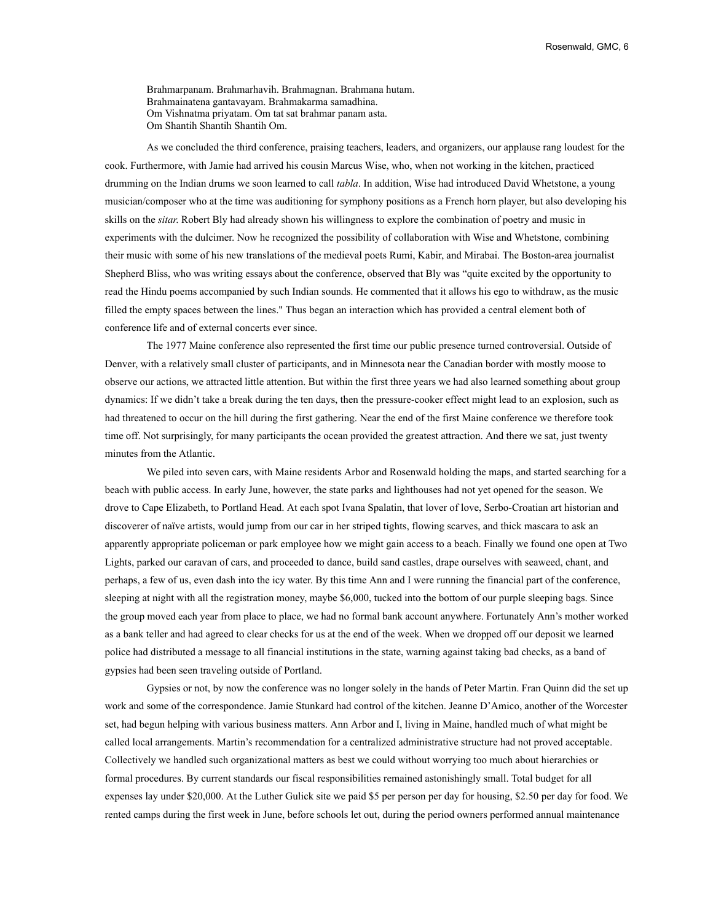Brahmarpanam. Brahmarhavih. Brahmagnan. Brahmana hutam. Brahmainatena gantavayam. Brahmakarma samadhina. Om Vishnatma priyatam. Om tat sat brahmar panam asta. Om Shantih Shantih Shantih Om.

As we concluded the third conference, praising teachers, leaders, and organizers, our applause rang loudest for the cook. Furthermore, with Jamie had arrived his cousin Marcus Wise, who, when not working in the kitchen, practiced drumming on the Indian drums we soon learned to call *tabla*. In addition, Wise had introduced David Whetstone, a young musician/composer who at the time was auditioning for symphony positions as a French horn player, but also developing his skills on the *sitar*. Robert Bly had already shown his willingness to explore the combination of poetry and music in experiments with the dulcimer. Now he recognized the possibility of collaboration with Wise and Whetstone, combining their music with some of his new translations of the medieval poets Rumi, Kabir, and Mirabai. The Boston-area journalist Shepherd Bliss, who was writing essays about the conference, observed that Bly was "quite excited by the opportunity to read the Hindu poems accompanied by such Indian sounds. He commented that it allows his ego to withdraw, as the music filled the empty spaces between the lines." Thus began an interaction which has provided a central element both of conference life and of external concerts ever since.

The 1977 Maine conference also represented the first time our public presence turned controversial. Outside of Denver, with a relatively small cluster of participants, and in Minnesota near the Canadian border with mostly moose to observe our actions, we attracted little attention. But within the first three years we had also learned something about group dynamics: If we didn't take a break during the ten days, then the pressure-cooker effect might lead to an explosion, such as had threatened to occur on the hill during the first gathering. Near the end of the first Maine conference we therefore took time off. Not surprisingly, for many participants the ocean provided the greatest attraction. And there we sat, just twenty minutes from the Atlantic.

We piled into seven cars, with Maine residents Arbor and Rosenwald holding the maps, and started searching for a beach with public access. In early June, however, the state parks and lighthouses had not yet opened for the season. We drove to Cape Elizabeth, to Portland Head. At each spot Ivana Spalatin, that lover of love, Serbo-Croatian art historian and discoverer of naïve artists, would jump from our car in her striped tights, flowing scarves, and thick mascara to ask an apparently appropriate policeman or park employee how we might gain access to a beach. Finally we found one open at Two Lights, parked our caravan of cars, and proceeded to dance, build sand castles, drape ourselves with seaweed, chant, and perhaps, a few of us, even dash into the icy water. By this time Ann and I were running the financial part of the conference, sleeping at night with all the registration money, maybe \$6,000, tucked into the bottom of our purple sleeping bags. Since the group moved each year from place to place, we had no formal bank account anywhere. Fortunately Ann's mother worked as a bank teller and had agreed to clear checks for us at the end of the week. When we dropped off our deposit we learned police had distributed a message to all financial institutions in the state, warning against taking bad checks, as a band of gypsies had been seen traveling outside of Portland.

Gypsies or not, by now the conference was no longer solely in the hands of Peter Martin. Fran Quinn did the set up work and some of the correspondence. Jamie Stunkard had control of the kitchen. Jeanne D'Amico, another of the Worcester set, had begun helping with various business matters. Ann Arbor and I, living in Maine, handled much of what might be called local arrangements. Martin's recommendation for a centralized administrative structure had not proved acceptable. Collectively we handled such organizational matters as best we could without worrying too much about hierarchies or formal procedures. By current standards our fiscal responsibilities remained astonishingly small. Total budget for all expenses lay under \$20,000. At the Luther Gulick site we paid \$5 per person per day for housing, \$2.50 per day for food. We rented camps during the first week in June, before schools let out, during the period owners performed annual maintenance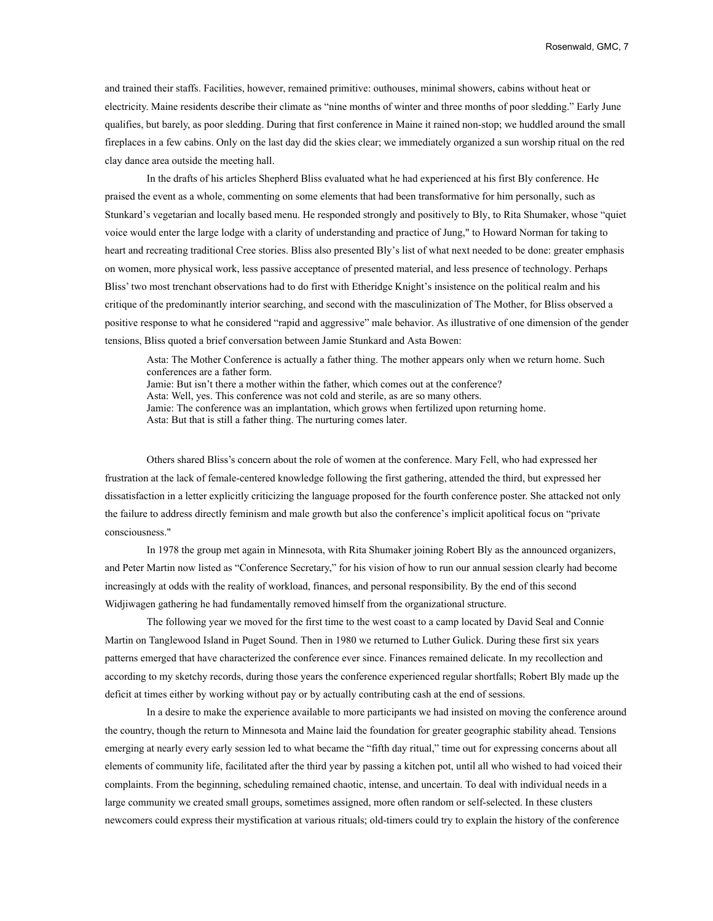and trained their staffs. Facilities, however, remained primitive: outhouses, minimal showers, cabins without heat or electricity. Maine residents describe their climate as "nine months of winter and three months of poor sledding." Early June qualifies, but barely, as poor sledding. During that first conference in Maine it rained non-stop; we huddled around the small fireplaces in a few cabins. Only on the last day did the skies clear; we immediately organized a sun worship ritual on the red clay dance area outside the meeting hall.

In the drafts of his articles Shepherd Bliss evaluated what he had experienced at his first Bly conference. He praised the event as a whole, commenting on some elements that had been transformative for him personally, such as Stunkard's vegetarian and locally based menu. He responded strongly and positively to Bly, to Rita Shumaker, whose "quiet voice would enter the large lodge with a clarity of understanding and practice of Jung," to Howard Norman for taking to heart and recreating traditional Cree stories. Bliss also presented Bly's list of what next needed to be done: greater emphasis on women, more physical work, less passive acceptance of presented material, and less presence of technology. Perhaps Bliss' two most trenchant observations had to do first with Etheridge Knight's insistence on the political realm and his critique of the predominantly interior searching, and second with the masculinization of The Mother, for Bliss observed a positive response to what he considered "rapid and aggressive" male behavior. As illustrative of one dimension of the gender tensions, Bliss quoted a brief conversation between Jamie Stunkard and Asta Bowen:

Asta: The Mother Conference is actually a father thing. The mother appears only when we return home. Such conferences are a father form. Jamie: But isn't there a mother within the father, which comes out at the conference? Asta: Well, yes. This conference was not cold and sterile, as are so many others. Jamie: The conference was an implantation, which grows when fertilized upon returning home. Asta: But that is still a father thing. The nurturing comes later.

Others shared Bliss's concern about the role of women at the conference. Mary Fell, who had expressed her frustration at the lack of female-centered knowledge following the first gathering, attended the third, but expressed her dissatisfaction in a letter explicitly criticizing the language proposed for the fourth conference poster. She attacked not only the failure to address directly feminism and male growth but also the conference's implicit apolitical focus on "private consciousness."

In 1978 the group met again in Minnesota, with Rita Shumaker joining Robert Bly as the announced organizers, and Peter Martin now listed as "Conference Secretary," for his vision of how to run our annual session clearly had become increasingly at odds with the reality of workload, finances, and personal responsibility. By the end of this second Widjiwagen gathering he had fundamentally removed himself from the organizational structure.

The following year we moved for the first time to the west coast to a camp located by David Seal and Connie Martin on Tanglewood Island in Puget Sound. Then in 1980 we returned to Luther Gulick. During these first six years patterns emerged that have characterized the conference ever since. Finances remained delicate. In my recollection and according to my sketchy records, during those years the conference experienced regular shortfalls; Robert Bly made up the deficit at times either by working without pay or by actually contributing cash at the end of sessions.

In a desire to make the experience available to more participants we had insisted on moving the conference around the country, though the return to Minnesota and Maine laid the foundation for greater geographic stability ahead. Tensions emerging at nearly every early session led to what became the "fifth day ritual," time out for expressing concerns about all elements of community life, facilitated after the third year by passing a kitchen pot, until all who wished to had voiced their complaints. From the beginning, scheduling remained chaotic, intense, and uncertain. To deal with individual needs in a large community we created small groups, sometimes assigned, more often random or self-selected. In these clusters newcomers could express their mystification at various rituals; old-timers could try to explain the history of the conference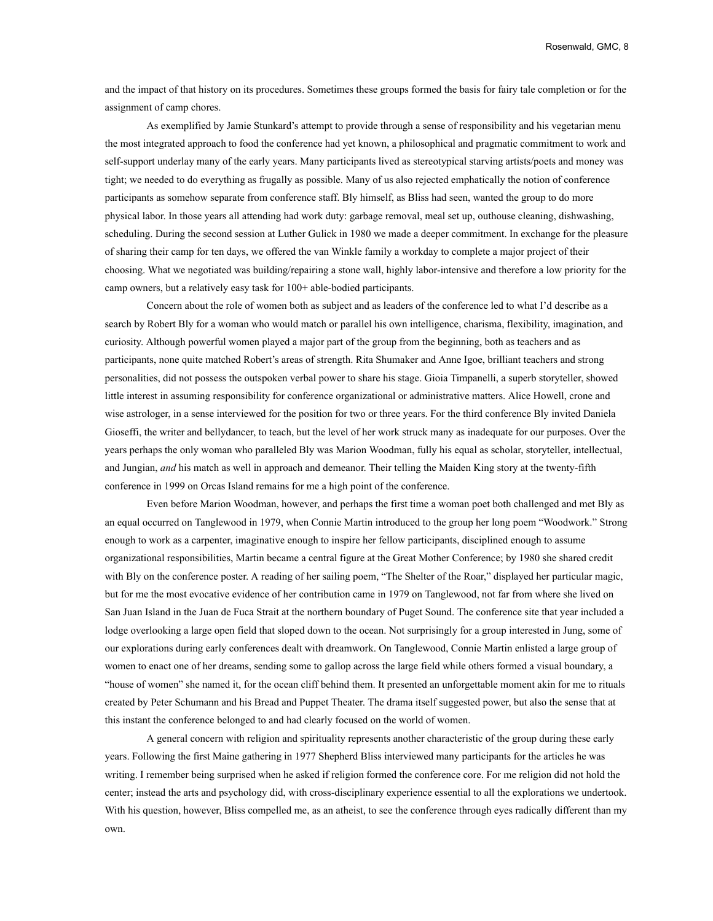and the impact of that history on its procedures. Sometimes these groups formed the basis for fairy tale completion or for the assignment of camp chores.

As exemplified by Jamie Stunkard's attempt to provide through a sense of responsibility and his vegetarian menu the most integrated approach to food the conference had yet known, a philosophical and pragmatic commitment to work and self-support underlay many of the early years. Many participants lived as stereotypical starving artists/poets and money was tight; we needed to do everything as frugally as possible. Many of us also rejected emphatically the notion of conference participants as somehow separate from conference staff. Bly himself, as Bliss had seen, wanted the group to do more physical labor. In those years all attending had work duty: garbage removal, meal set up, outhouse cleaning, dishwashing, scheduling. During the second session at Luther Gulick in 1980 we made a deeper commitment. In exchange for the pleasure of sharing their camp for ten days, we offered the van Winkle family a workday to complete a major project of their choosing. What we negotiated was building/repairing a stone wall, highly labor-intensive and therefore a low priority for the camp owners, but a relatively easy task for 100+ able-bodied participants.

Concern about the role of women both as subject and as leaders of the conference led to what I'd describe as a search by Robert Bly for a woman who would match or parallel his own intelligence, charisma, flexibility, imagination, and curiosity. Although powerful women played a major part of the group from the beginning, both as teachers and as participants, none quite matched Robert's areas of strength. Rita Shumaker and Anne Igoe, brilliant teachers and strong personalities, did not possess the outspoken verbal power to share his stage. Gioia Timpanelli, a superb storyteller, showed little interest in assuming responsibility for conference organizational or administrative matters. Alice Howell, crone and wise astrologer, in a sense interviewed for the position for two or three years. For the third conference Bly invited Daniela Gioseffi, the writer and bellydancer, to teach, but the level of her work struck many as inadequate for our purposes. Over the years perhaps the only woman who paralleled Bly was Marion Woodman, fully his equal as scholar, storyteller, intellectual, and Jungian, *and* his match as well in approach and demeanor. Their telling the Maiden King story at the twenty-fifth conference in 1999 on Orcas Island remains for me a high point of the conference.

Even before Marion Woodman, however, and perhaps the first time a woman poet both challenged and met Bly as an equal occurred on Tanglewood in 1979, when Connie Martin introduced to the group her long poem "Woodwork." Strong enough to work as a carpenter, imaginative enough to inspire her fellow participants, disciplined enough to assume organizational responsibilities, Martin became a central figure at the Great Mother Conference; by 1980 she shared credit with Bly on the conference poster. A reading of her sailing poem, "The Shelter of the Roar," displayed her particular magic, but for me the most evocative evidence of her contribution came in 1979 on Tanglewood, not far from where she lived on San Juan Island in the Juan de Fuca Strait at the northern boundary of Puget Sound. The conference site that year included a lodge overlooking a large open field that sloped down to the ocean. Not surprisingly for a group interested in Jung, some of our explorations during early conferences dealt with dreamwork. On Tanglewood, Connie Martin enlisted a large group of women to enact one of her dreams, sending some to gallop across the large field while others formed a visual boundary, a "house of women" she named it, for the ocean cliff behind them. It presented an unforgettable moment akin for me to rituals created by Peter Schumann and his Bread and Puppet Theater. The drama itself suggested power, but also the sense that at this instant the conference belonged to and had clearly focused on the world of women.

A general concern with religion and spirituality represents another characteristic of the group during these early years. Following the first Maine gathering in 1977 Shepherd Bliss interviewed many participants for the articles he was writing. I remember being surprised when he asked if religion formed the conference core. For me religion did not hold the center; instead the arts and psychology did, with cross-disciplinary experience essential to all the explorations we undertook. With his question, however, Bliss compelled me, as an atheist, to see the conference through eyes radically different than my own.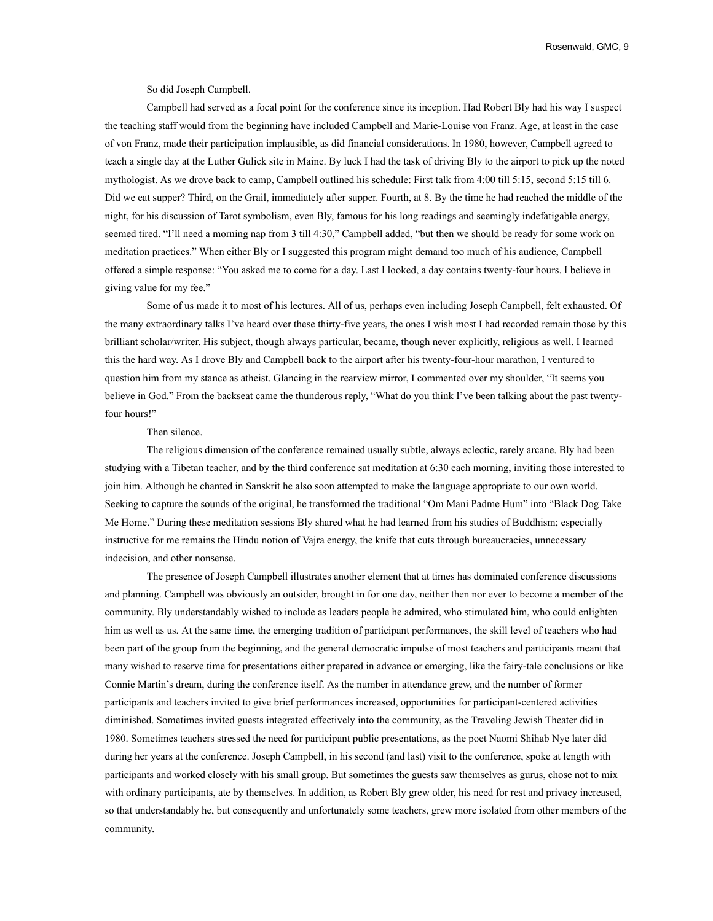Rosenwald, GMC, 9

So did Joseph Campbell.

Campbell had served as a focal point for the conference since its inception. Had Robert Bly had his way I suspect the teaching staff would from the beginning have included Campbell and Marie-Louise von Franz. Age, at least in the case of von Franz, made their participation implausible, as did financial considerations. In 1980, however, Campbell agreed to teach a single day at the Luther Gulick site in Maine. By luck I had the task of driving Bly to the airport to pick up the noted mythologist. As we drove back to camp, Campbell outlined his schedule: First talk from 4:00 till 5:15, second 5:15 till 6. Did we eat supper? Third, on the Grail, immediately after supper. Fourth, at 8. By the time he had reached the middle of the night, for his discussion of Tarot symbolism, even Bly, famous for his long readings and seemingly indefatigable energy, seemed tired. "I'll need a morning nap from 3 till 4:30," Campbell added, "but then we should be ready for some work on meditation practices." When either Bly or I suggested this program might demand too much of his audience, Campbell offered a simple response: "You asked me to come for a day. Last I looked, a day contains twenty-four hours. I believe in giving value for my fee."

Some of us made it to most of his lectures. All of us, perhaps even including Joseph Campbell, felt exhausted. Of the many extraordinary talks I've heard over these thirty-five years, the ones I wish most I had recorded remain those by this brilliant scholar/writer. His subject, though always particular, became, though never explicitly, religious as well. I learned this the hard way. As I drove Bly and Campbell back to the airport after his twenty-four-hour marathon, I ventured to question him from my stance as atheist. Glancing in the rearview mirror, I commented over my shoulder, "It seems you believe in God." From the backseat came the thunderous reply, "What do you think I've been talking about the past twentyfour hours!"

## Then silence.

The religious dimension of the conference remained usually subtle, always eclectic, rarely arcane. Bly had been studying with a Tibetan teacher, and by the third conference sat meditation at 6:30 each morning, inviting those interested to join him. Although he chanted in Sanskrit he also soon attempted to make the language appropriate to our own world. Seeking to capture the sounds of the original, he transformed the traditional "Om Mani Padme Hum" into "Black Dog Take Me Home." During these meditation sessions Bly shared what he had learned from his studies of Buddhism; especially instructive for me remains the Hindu notion of Vajra energy, the knife that cuts through bureaucracies, unnecessary indecision, and other nonsense.

The presence of Joseph Campbell illustrates another element that at times has dominated conference discussions and planning. Campbell was obviously an outsider, brought in for one day, neither then nor ever to become a member of the community. Bly understandably wished to include as leaders people he admired, who stimulated him, who could enlighten him as well as us. At the same time, the emerging tradition of participant performances, the skill level of teachers who had been part of the group from the beginning, and the general democratic impulse of most teachers and participants meant that many wished to reserve time for presentations either prepared in advance or emerging, like the fairy-tale conclusions or like Connie Martin's dream, during the conference itself. As the number in attendance grew, and the number of former participants and teachers invited to give brief performances increased, opportunities for participant-centered activities diminished. Sometimes invited guests integrated effectively into the community, as the Traveling Jewish Theater did in 1980. Sometimes teachers stressed the need for participant public presentations, as the poet Naomi Shihab Nye later did during her years at the conference. Joseph Campbell, in his second (and last) visit to the conference, spoke at length with participants and worked closely with his small group. But sometimes the guests saw themselves as gurus, chose not to mix with ordinary participants, ate by themselves. In addition, as Robert Bly grew older, his need for rest and privacy increased, so that understandably he, but consequently and unfortunately some teachers, grew more isolated from other members of the community.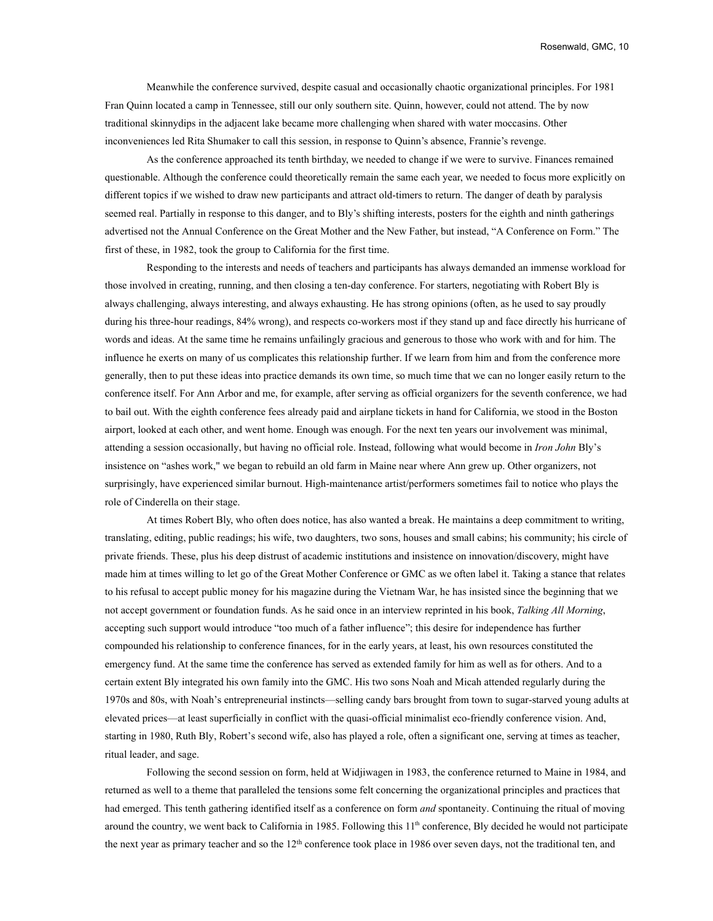Meanwhile the conference survived, despite casual and occasionally chaotic organizational principles. For 1981 Fran Quinn located a camp in Tennessee, still our only southern site. Quinn, however, could not attend. The by now traditional skinnydips in the adjacent lake became more challenging when shared with water moccasins. Other inconveniences led Rita Shumaker to call this session, in response to Quinn's absence, Frannie's revenge.

As the conference approached its tenth birthday, we needed to change if we were to survive. Finances remained questionable. Although the conference could theoretically remain the same each year, we needed to focus more explicitly on different topics if we wished to draw new participants and attract old-timers to return. The danger of death by paralysis seemed real. Partially in response to this danger, and to Bly's shifting interests, posters for the eighth and ninth gatherings advertised not the Annual Conference on the Great Mother and the New Father, but instead, "A Conference on Form." The first of these, in 1982, took the group to California for the first time.

Responding to the interests and needs of teachers and participants has always demanded an immense workload for those involved in creating, running, and then closing a ten-day conference. For starters, negotiating with Robert Bly is always challenging, always interesting, and always exhausting. He has strong opinions (often, as he used to say proudly during his three-hour readings, 84% wrong), and respects co-workers most if they stand up and face directly his hurricane of words and ideas. At the same time he remains unfailingly gracious and generous to those who work with and for him. The influence he exerts on many of us complicates this relationship further. If we learn from him and from the conference more generally, then to put these ideas into practice demands its own time, so much time that we can no longer easily return to the conference itself. For Ann Arbor and me, for example, after serving as official organizers for the seventh conference, we had to bail out. With the eighth conference fees already paid and airplane tickets in hand for California, we stood in the Boston airport, looked at each other, and went home. Enough was enough. For the next ten years our involvement was minimal, attending a session occasionally, but having no official role. Instead, following what would become in *Iron John* Bly's insistence on "ashes work," we began to rebuild an old farm in Maine near where Ann grew up. Other organizers, not surprisingly, have experienced similar burnout. High-maintenance artist/performers sometimes fail to notice who plays the role of Cinderella on their stage.

At times Robert Bly, who often does notice, has also wanted a break. He maintains a deep commitment to writing, translating, editing, public readings; his wife, two daughters, two sons, houses and small cabins; his community; his circle of private friends. These, plus his deep distrust of academic institutions and insistence on innovation/discovery, might have made him at times willing to let go of the Great Mother Conference or GMC as we often label it. Taking a stance that relates to his refusal to accept public money for his magazine during the Vietnam War, he has insisted since the beginning that we not accept government or foundation funds. As he said once in an interview reprinted in his book, *Talking All Morning*, accepting such support would introduce "too much of a father influence"; this desire for independence has further compounded his relationship to conference finances, for in the early years, at least, his own resources constituted the emergency fund. At the same time the conference has served as extended family for him as well as for others. And to a certain extent Bly integrated his own family into the GMC. His two sons Noah and Micah attended regularly during the 1970s and 80s, with Noah's entrepreneurial instincts—selling candy bars brought from town to sugar-starved young adults at elevated prices—at least superficially in conflict with the quasi-official minimalist eco-friendly conference vision. And, starting in 1980, Ruth Bly, Robert's second wife, also has played a role, often a significant one, serving at times as teacher, ritual leader, and sage.

Following the second session on form, held at Widjiwagen in 1983, the conference returned to Maine in 1984, and returned as well to a theme that paralleled the tensions some felt concerning the organizational principles and practices that had emerged. This tenth gathering identified itself as a conference on form *and* spontaneity. Continuing the ritual of moving around the country, we went back to California in 1985. Following this  $11<sup>th</sup>$  conference, Bly decided he would not participate the next year as primary teacher and so the  $12<sup>th</sup>$  conference took place in 1986 over seven days, not the traditional ten, and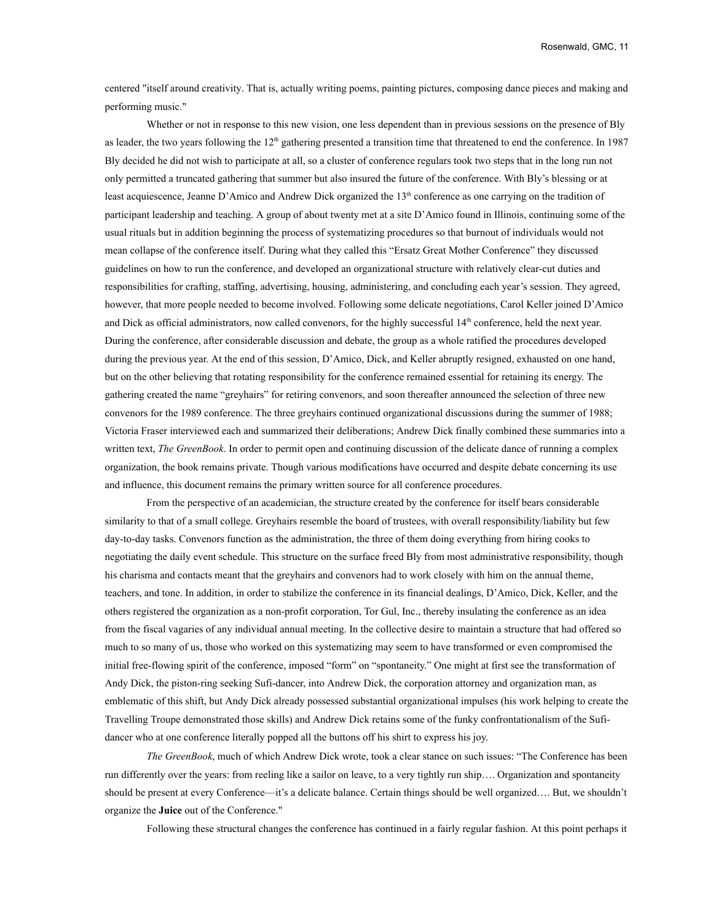centered "itself around creativity. That is, actually writing poems, painting pictures, composing dance pieces and making and performing music."

Whether or not in response to this new vision, one less dependent than in previous sessions on the presence of Bly as leader, the two years following the  $12<sup>th</sup>$  gathering presented a transition time that threatened to end the conference. In 1987 Bly decided he did not wish to participate at all, so a cluster of conference regulars took two steps that in the long run not only permitted a truncated gathering that summer but also insured the future of the conference. With Bly's blessing or at least acquiescence, Jeanne D'Amico and Andrew Dick organized the 13<sup>th</sup> conference as one carrying on the tradition of participant leadership and teaching. A group of about twenty met at a site D'Amico found in Illinois, continuing some of the usual rituals but in addition beginning the process of systematizing procedures so that burnout of individuals would not mean collapse of the conference itself. During what they called this "Ersatz Great Mother Conference" they discussed guidelines on how to run the conference, and developed an organizational structure with relatively clear-cut duties and responsibilities for crafting, staffing, advertising, housing, administering, and concluding each year's session. They agreed, however, that more people needed to become involved. Following some delicate negotiations, Carol Keller joined D'Amico and Dick as official administrators, now called convenors, for the highly successful  $14<sup>th</sup>$  conference, held the next year. During the conference, after considerable discussion and debate, the group as a whole ratified the procedures developed during the previous year. At the end of this session, D'Amico, Dick, and Keller abruptly resigned, exhausted on one hand, but on the other believing that rotating responsibility for the conference remained essential for retaining its energy. The gathering created the name "greyhairs" for retiring convenors, and soon thereafter announced the selection of three new convenors for the 1989 conference. The three greyhairs continued organizational discussions during the summer of 1988; Victoria Fraser interviewed each and summarized their deliberations; Andrew Dick finally combined these summaries into a written text, *The GreenBook*. In order to permit open and continuing discussion of the delicate dance of running a complex organization, the book remains private. Though various modifications have occurred and despite debate concerning its use and influence, this document remains the primary written source for all conference procedures.

From the perspective of an academician, the structure created by the conference for itself bears considerable similarity to that of a small college. Greyhairs resemble the board of trustees, with overall responsibility/liability but few day-to-day tasks. Convenors function as the administration, the three of them doing everything from hiring cooks to negotiating the daily event schedule. This structure on the surface freed Bly from most administrative responsibility, though his charisma and contacts meant that the greyhairs and convenors had to work closely with him on the annual theme, teachers, and tone. In addition, in order to stabilize the conference in its financial dealings, D'Amico, Dick, Keller, and the others registered the organization as a non-profit corporation, Tor Gul, Inc., thereby insulating the conference as an idea from the fiscal vagaries of any individual annual meeting. In the collective desire to maintain a structure that had offered so much to so many of us, those who worked on this systematizing may seem to have transformed or even compromised the initial free-flowing spirit of the conference, imposed "form" on "spontaneity." One might at first see the transformation of Andy Dick, the piston-ring seeking Sufi-dancer, into Andrew Dick, the corporation attorney and organization man, as emblematic of this shift, but Andy Dick already possessed substantial organizational impulses (his work helping to create the Travelling Troupe demonstrated those skills) and Andrew Dick retains some of the funky confrontationalism of the Sufidancer who at one conference literally popped all the buttons off his shirt to express his joy.

*The GreenBook*, much of which Andrew Dick wrote, took a clear stance on such issues: "The Conference has been run differently over the years: from reeling like a sailor on leave, to a very tightly run ship…. Organization and spontaneity should be present at every Conference—it's a delicate balance. Certain things should be well organized…. But, we shouldn't organize the **Juice** out of the Conference."

Following these structural changes the conference has continued in a fairly regular fashion. At this point perhaps it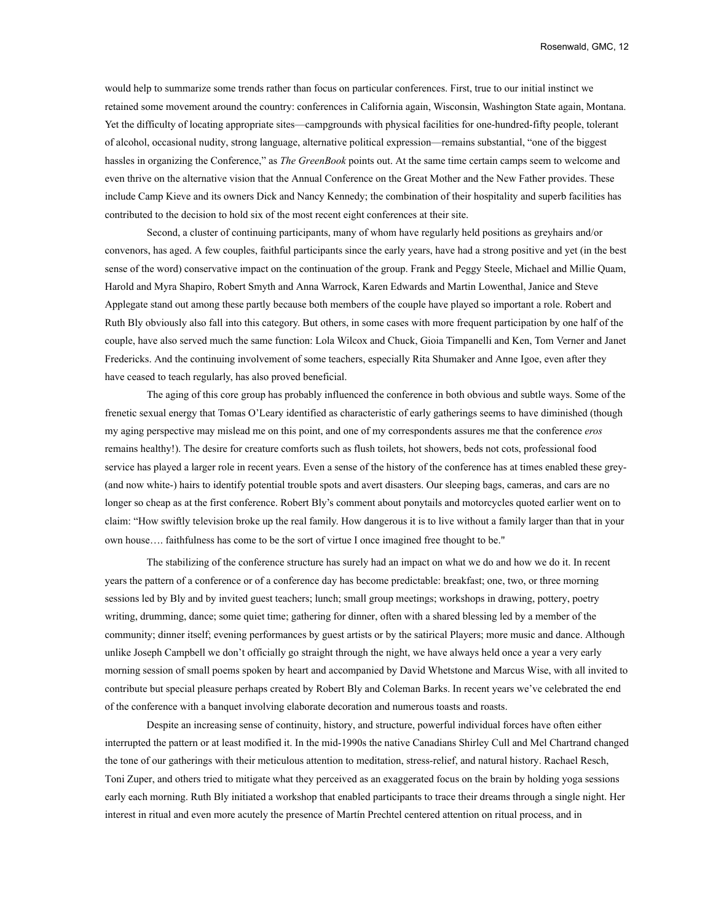would help to summarize some trends rather than focus on particular conferences. First, true to our initial instinct we retained some movement around the country: conferences in California again, Wisconsin, Washington State again, Montana. Yet the difficulty of locating appropriate sites—campgrounds with physical facilities for one-hundred-fifty people, tolerant of alcohol, occasional nudity, strong language, alternative political expression—remains substantial, "one of the biggest hassles in organizing the Conference," as *The GreenBook* points out. At the same time certain camps seem to welcome and even thrive on the alternative vision that the Annual Conference on the Great Mother and the New Father provides. These include Camp Kieve and its owners Dick and Nancy Kennedy; the combination of their hospitality and superb facilities has contributed to the decision to hold six of the most recent eight conferences at their site.

Second, a cluster of continuing participants, many of whom have regularly held positions as greyhairs and/or convenors, has aged. A few couples, faithful participants since the early years, have had a strong positive and yet (in the best sense of the word) conservative impact on the continuation of the group. Frank and Peggy Steele, Michael and Millie Quam, Harold and Myra Shapiro, Robert Smyth and Anna Warrock, Karen Edwards and Martin Lowenthal, Janice and Steve Applegate stand out among these partly because both members of the couple have played so important a role. Robert and Ruth Bly obviously also fall into this category. But others, in some cases with more frequent participation by one half of the couple, have also served much the same function: Lola Wilcox and Chuck, Gioia Timpanelli and Ken, Tom Verner and Janet Fredericks. And the continuing involvement of some teachers, especially Rita Shumaker and Anne Igoe, even after they have ceased to teach regularly, has also proved beneficial.

The aging of this core group has probably influenced the conference in both obvious and subtle ways. Some of the frenetic sexual energy that Tomas O'Leary identified as characteristic of early gatherings seems to have diminished (though my aging perspective may mislead me on this point, and one of my correspondents assures me that the conference *eros* remains healthy!). The desire for creature comforts such as flush toilets, hot showers, beds not cots, professional food service has played a larger role in recent years. Even a sense of the history of the conference has at times enabled these grey- (and now white-) hairs to identify potential trouble spots and avert disasters. Our sleeping bags, cameras, and cars are no longer so cheap as at the first conference. Robert Bly's comment about ponytails and motorcycles quoted earlier went on to claim: "How swiftly television broke up the real family. How dangerous it is to live without a family larger than that in your own house…. faithfulness has come to be the sort of virtue I once imagined free thought to be."

The stabilizing of the conference structure has surely had an impact on what we do and how we do it. In recent years the pattern of a conference or of a conference day has become predictable: breakfast; one, two, or three morning sessions led by Bly and by invited guest teachers; lunch; small group meetings; workshops in drawing, pottery, poetry writing, drumming, dance; some quiet time; gathering for dinner, often with a shared blessing led by a member of the community; dinner itself; evening performances by guest artists or by the satirical Players; more music and dance. Although unlike Joseph Campbell we don't officially go straight through the night, we have always held once a year a very early morning session of small poems spoken by heart and accompanied by David Whetstone and Marcus Wise, with all invited to contribute but special pleasure perhaps created by Robert Bly and Coleman Barks. In recent years we've celebrated the end of the conference with a banquet involving elaborate decoration and numerous toasts and roasts.

Despite an increasing sense of continuity, history, and structure, powerful individual forces have often either interrupted the pattern or at least modified it. In the mid-1990s the native Canadians Shirley Cull and Mel Chartrand changed the tone of our gatherings with their meticulous attention to meditation, stress-relief, and natural history. Rachael Resch, Toni Zuper, and others tried to mitigate what they perceived as an exaggerated focus on the brain by holding yoga sessions early each morning. Ruth Bly initiated a workshop that enabled participants to trace their dreams through a single night. Her interest in ritual and even more acutely the presence of Martín Prechtel centered attention on ritual process, and in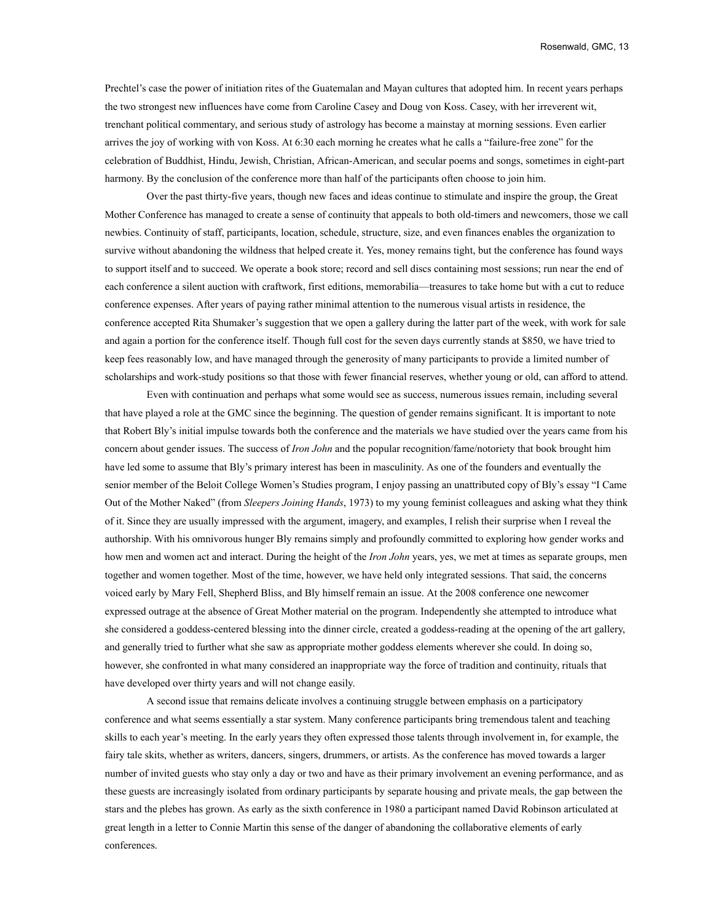Prechtel's case the power of initiation rites of the Guatemalan and Mayan cultures that adopted him. In recent years perhaps the two strongest new influences have come from Caroline Casey and Doug von Koss. Casey, with her irreverent wit, trenchant political commentary, and serious study of astrology has become a mainstay at morning sessions. Even earlier arrives the joy of working with von Koss. At 6:30 each morning he creates what he calls a "failure-free zone" for the celebration of Buddhist, Hindu, Jewish, Christian, African-American, and secular poems and songs, sometimes in eight-part harmony. By the conclusion of the conference more than half of the participants often choose to join him.

Over the past thirty-five years, though new faces and ideas continue to stimulate and inspire the group, the Great Mother Conference has managed to create a sense of continuity that appeals to both old-timers and newcomers, those we call newbies. Continuity of staff, participants, location, schedule, structure, size, and even finances enables the organization to survive without abandoning the wildness that helped create it. Yes, money remains tight, but the conference has found ways to support itself and to succeed. We operate a book store; record and sell discs containing most sessions; run near the end of each conference a silent auction with craftwork, first editions, memorabilia—treasures to take home but with a cut to reduce conference expenses. After years of paying rather minimal attention to the numerous visual artists in residence, the conference accepted Rita Shumaker's suggestion that we open a gallery during the latter part of the week, with work for sale and again a portion for the conference itself. Though full cost for the seven days currently stands at \$850, we have tried to keep fees reasonably low, and have managed through the generosity of many participants to provide a limited number of scholarships and work-study positions so that those with fewer financial reserves, whether young or old, can afford to attend.

Even with continuation and perhaps what some would see as success, numerous issues remain, including several that have played a role at the GMC since the beginning. The question of gender remains significant. It is important to note that Robert Bly's initial impulse towards both the conference and the materials we have studied over the years came from his concern about gender issues. The success of *Iron John* and the popular recognition/fame/notoriety that book brought him have led some to assume that Bly's primary interest has been in masculinity. As one of the founders and eventually the senior member of the Beloit College Women's Studies program, I enjoy passing an unattributed copy of Bly's essay "I Came Out of the Mother Naked" (from *Sleepers Joining Hands*, 1973) to my young feminist colleagues and asking what they think of it. Since they are usually impressed with the argument, imagery, and examples, I relish their surprise when I reveal the authorship. With his omnivorous hunger Bly remains simply and profoundly committed to exploring how gender works and how men and women act and interact. During the height of the *Iron John* years, yes, we met at times as separate groups, men together and women together. Most of the time, however, we have held only integrated sessions. That said, the concerns voiced early by Mary Fell, Shepherd Bliss, and Bly himself remain an issue. At the 2008 conference one newcomer expressed outrage at the absence of Great Mother material on the program. Independently she attempted to introduce what she considered a goddess-centered blessing into the dinner circle, created a goddess-reading at the opening of the art gallery, and generally tried to further what she saw as appropriate mother goddess elements wherever she could. In doing so, however, she confronted in what many considered an inappropriate way the force of tradition and continuity, rituals that have developed over thirty years and will not change easily.

A second issue that remains delicate involves a continuing struggle between emphasis on a participatory conference and what seems essentially a star system. Many conference participants bring tremendous talent and teaching skills to each year's meeting. In the early years they often expressed those talents through involvement in, for example, the fairy tale skits, whether as writers, dancers, singers, drummers, or artists. As the conference has moved towards a larger number of invited guests who stay only a day or two and have as their primary involvement an evening performance, and as these guests are increasingly isolated from ordinary participants by separate housing and private meals, the gap between the stars and the plebes has grown. As early as the sixth conference in 1980 a participant named David Robinson articulated at great length in a letter to Connie Martin this sense of the danger of abandoning the collaborative elements of early conferences.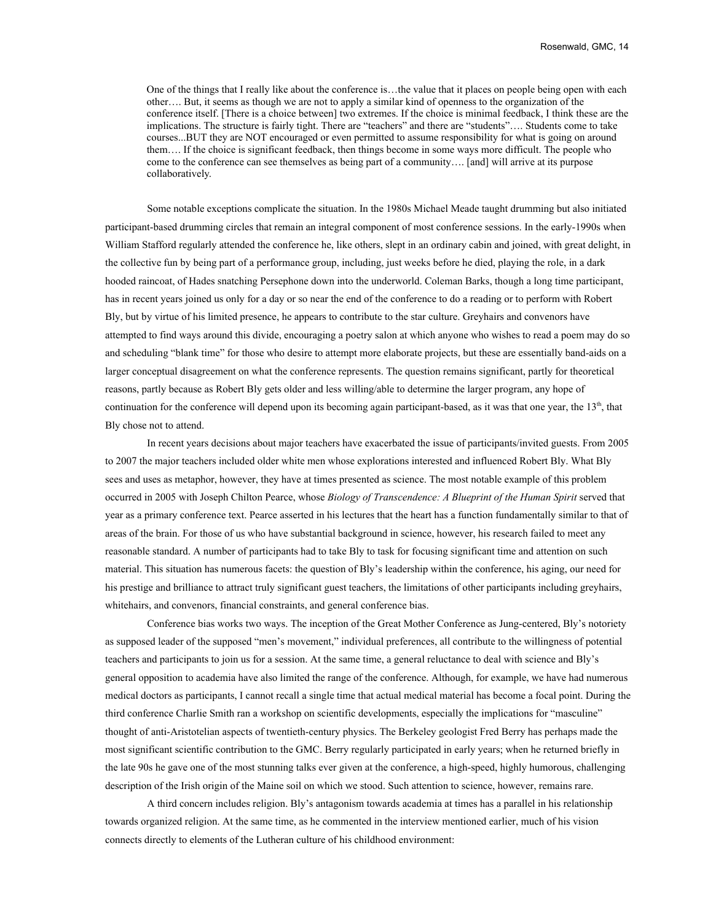One of the things that I really like about the conference is…the value that it places on people being open with each other…. But, it seems as though we are not to apply a similar kind of openness to the organization of the conference itself. [There is a choice between] two extremes. If the choice is minimal feedback, I think these are the implications. The structure is fairly tight. There are "teachers" and there are "students"…. Students come to take courses...BUT they are NOT encouraged or even permitted to assume responsibility for what is going on around them…. If the choice is significant feedback, then things become in some ways more difficult. The people who come to the conference can see themselves as being part of a community…. [and] will arrive at its purpose collaboratively.

Some notable exceptions complicate the situation. In the 1980s Michael Meade taught drumming but also initiated participant-based drumming circles that remain an integral component of most conference sessions. In the early-1990s when William Stafford regularly attended the conference he, like others, slept in an ordinary cabin and joined, with great delight, in the collective fun by being part of a performance group, including, just weeks before he died, playing the role, in a dark hooded raincoat, of Hades snatching Persephone down into the underworld. Coleman Barks, though a long time participant, has in recent years joined us only for a day or so near the end of the conference to do a reading or to perform with Robert Bly, but by virtue of his limited presence, he appears to contribute to the star culture. Greyhairs and convenors have attempted to find ways around this divide, encouraging a poetry salon at which anyone who wishes to read a poem may do so and scheduling "blank time" for those who desire to attempt more elaborate projects, but these are essentially band-aids on a larger conceptual disagreement on what the conference represents. The question remains significant, partly for theoretical reasons, partly because as Robert Bly gets older and less willing/able to determine the larger program, any hope of continuation for the conference will depend upon its becoming again participant-based, as it was that one year, the  $13<sup>th</sup>$ , that Bly chose not to attend.

In recent years decisions about major teachers have exacerbated the issue of participants/invited guests. From 2005 to 2007 the major teachers included older white men whose explorations interested and influenced Robert Bly. What Bly sees and uses as metaphor, however, they have at times presented as science. The most notable example of this problem occurred in 2005 with Joseph Chilton Pearce, whose *Biology of Transcendence: A Blueprint of the Human Spirit* served that year as a primary conference text. Pearce asserted in his lectures that the heart has a function fundamentally similar to that of areas of the brain. For those of us who have substantial background in science, however, his research failed to meet any reasonable standard. A number of participants had to take Bly to task for focusing significant time and attention on such material. This situation has numerous facets: the question of Bly's leadership within the conference, his aging, our need for his prestige and brilliance to attract truly significant guest teachers, the limitations of other participants including greyhairs, whitehairs, and convenors, financial constraints, and general conference bias.

Conference bias works two ways. The inception of the Great Mother Conference as Jung-centered, Bly's notoriety as supposed leader of the supposed "men's movement," individual preferences, all contribute to the willingness of potential teachers and participants to join us for a session. At the same time, a general reluctance to deal with science and Bly's general opposition to academia have also limited the range of the conference. Although, for example, we have had numerous medical doctors as participants, I cannot recall a single time that actual medical material has become a focal point. During the third conference Charlie Smith ran a workshop on scientific developments, especially the implications for "masculine" thought of anti-Aristotelian aspects of twentieth-century physics. The Berkeley geologist Fred Berry has perhaps made the most significant scientific contribution to the GMC. Berry regularly participated in early years; when he returned briefly in the late 90s he gave one of the most stunning talks ever given at the conference, a high-speed, highly humorous, challenging description of the Irish origin of the Maine soil on which we stood. Such attention to science, however, remains rare.

A third concern includes religion. Bly's antagonism towards academia at times has a parallel in his relationship towards organized religion. At the same time, as he commented in the interview mentioned earlier, much of his vision connects directly to elements of the Lutheran culture of his childhood environment: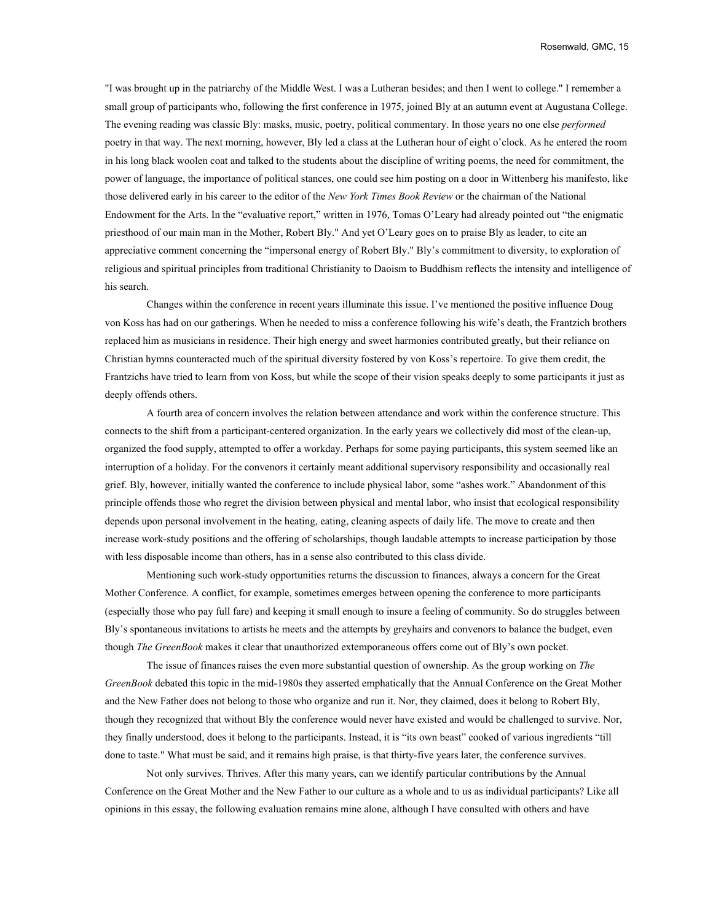"I was brought up in the patriarchy of the Middle West. I was a Lutheran besides; and then I went to college." I remember a small group of participants who, following the first conference in 1975, joined Bly at an autumn event at Augustana College. The evening reading was classic Bly: masks, music, poetry, political commentary. In those years no one else *performed* poetry in that way. The next morning, however, Bly led a class at the Lutheran hour of eight o'clock. As he entered the room in his long black woolen coat and talked to the students about the discipline of writing poems, the need for commitment, the power of language, the importance of political stances, one could see him posting on a door in Wittenberg his manifesto, like those delivered early in his career to the editor of the *New York Times Book Review* or the chairman of the National Endowment for the Arts. In the "evaluative report," written in 1976, Tomas O'Leary had already pointed out "the enigmatic priesthood of our main man in the Mother, Robert Bly." And yet O'Leary goes on to praise Bly as leader, to cite an appreciative comment concerning the "impersonal energy of Robert Bly." Bly's commitment to diversity, to exploration of religious and spiritual principles from traditional Christianity to Daoism to Buddhism reflects the intensity and intelligence of his search.

Changes within the conference in recent years illuminate this issue. I've mentioned the positive influence Doug von Koss has had on our gatherings. When he needed to miss a conference following his wife's death, the Frantzich brothers replaced him as musicians in residence. Their high energy and sweet harmonies contributed greatly, but their reliance on Christian hymns counteracted much of the spiritual diversity fostered by von Koss's repertoire. To give them credit, the Frantzichs have tried to learn from von Koss, but while the scope of their vision speaks deeply to some participants it just as deeply offends others.

A fourth area of concern involves the relation between attendance and work within the conference structure. This connects to the shift from a participant-centered organization. In the early years we collectively did most of the clean-up, organized the food supply, attempted to offer a workday. Perhaps for some paying participants, this system seemed like an interruption of a holiday. For the convenors it certainly meant additional supervisory responsibility and occasionally real grief. Bly, however, initially wanted the conference to include physical labor, some "ashes work." Abandonment of this principle offends those who regret the division between physical and mental labor, who insist that ecological responsibility depends upon personal involvement in the heating, eating, cleaning aspects of daily life. The move to create and then increase work-study positions and the offering of scholarships, though laudable attempts to increase participation by those with less disposable income than others, has in a sense also contributed to this class divide.

Mentioning such work-study opportunities returns the discussion to finances, always a concern for the Great Mother Conference. A conflict, for example, sometimes emerges between opening the conference to more participants (especially those who pay full fare) and keeping it small enough to insure a feeling of community. So do struggles between Bly's spontaneous invitations to artists he meets and the attempts by greyhairs and convenors to balance the budget, even though *The GreenBook* makes it clear that unauthorized extemporaneous offers come out of Bly's own pocket.

The issue of finances raises the even more substantial question of ownership. As the group working on *The GreenBook* debated this topic in the mid-1980s they asserted emphatically that the Annual Conference on the Great Mother and the New Father does not belong to those who organize and run it. Nor, they claimed, does it belong to Robert Bly, though they recognized that without Bly the conference would never have existed and would be challenged to survive. Nor, they finally understood, does it belong to the participants. Instead, it is "its own beast" cooked of various ingredients "till done to taste." What must be said, and it remains high praise, is that thirty-five years later, the conference survives.

Not only survives. Thrives. After this many years, can we identify particular contributions by the Annual Conference on the Great Mother and the New Father to our culture as a whole and to us as individual participants? Like all opinions in this essay, the following evaluation remains mine alone, although I have consulted with others and have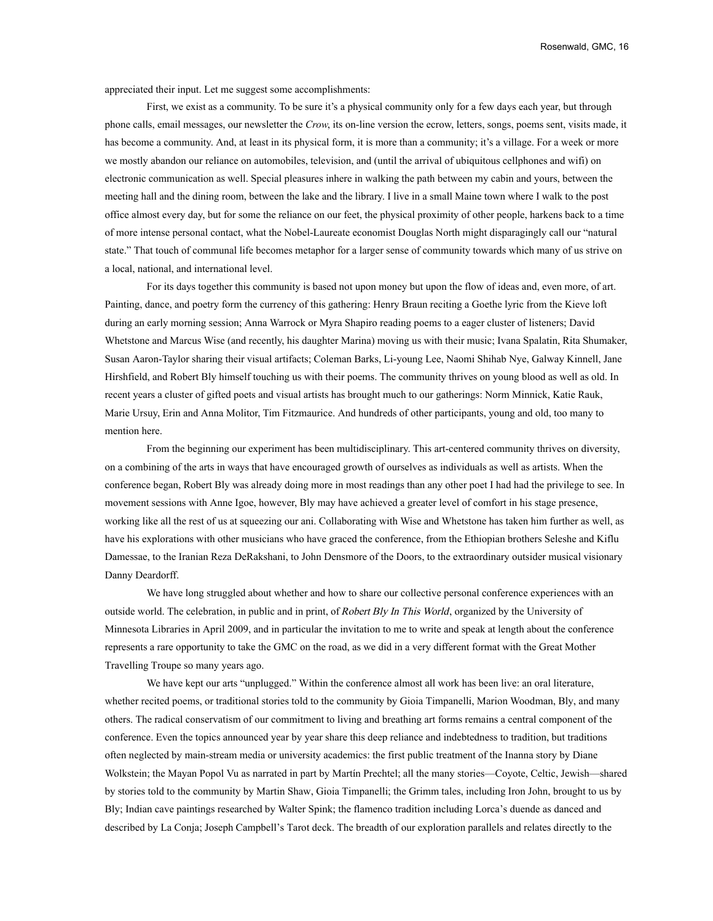appreciated their input. Let me suggest some accomplishments:

First, we exist as a community. To be sure it's a physical community only for a few days each year, but through phone calls, email messages, our newsletter the *Crow*, its on-line version the ecrow, letters, songs, poems sent, visits made, it has become a community. And, at least in its physical form, it is more than a community; it's a village. For a week or more we mostly abandon our reliance on automobiles, television, and (until the arrival of ubiquitous cellphones and wifi) on electronic communication as well. Special pleasures inhere in walking the path between my cabin and yours, between the meeting hall and the dining room, between the lake and the library. I live in a small Maine town where I walk to the post office almost every day, but for some the reliance on our feet, the physical proximity of other people, harkens back to a time of more intense personal contact, what the Nobel-Laureate economist Douglas North might disparagingly call our "natural state." That touch of communal life becomes metaphor for a larger sense of community towards which many of us strive on a local, national, and international level.

For its days together this community is based not upon money but upon the flow of ideas and, even more, of art. Painting, dance, and poetry form the currency of this gathering: Henry Braun reciting a Goethe lyric from the Kieve loft during an early morning session; Anna Warrock or Myra Shapiro reading poems to a eager cluster of listeners; David Whetstone and Marcus Wise (and recently, his daughter Marina) moving us with their music; Ivana Spalatin, Rita Shumaker, Susan Aaron-Taylor sharing their visual artifacts; Coleman Barks, Li-young Lee, Naomi Shihab Nye, Galway Kinnell, Jane Hirshfield, and Robert Bly himself touching us with their poems. The community thrives on young blood as well as old. In recent years a cluster of gifted poets and visual artists has brought much to our gatherings: Norm Minnick, Katie Rauk, Marie Ursuy, Erin and Anna Molitor, Tim Fitzmaurice. And hundreds of other participants, young and old, too many to mention here.

From the beginning our experiment has been multidisciplinary. This art-centered community thrives on diversity, on a combining of the arts in ways that have encouraged growth of ourselves as individuals as well as artists. When the conference began, Robert Bly was already doing more in most readings than any other poet I had had the privilege to see. In movement sessions with Anne Igoe, however, Bly may have achieved a greater level of comfort in his stage presence, working like all the rest of us at squeezing our ani. Collaborating with Wise and Whetstone has taken him further as well, as have his explorations with other musicians who have graced the conference, from the Ethiopian brothers Seleshe and Kiflu Damessae, to the Iranian Reza DeRakshani, to John Densmore of the Doors, to the extraordinary outsider musical visionary Danny Deardorff.

We have long struggled about whether and how to share our collective personal conference experiences with an outside world. The celebration, in public and in print, of Robert Bly In This World, organized by the University of Minnesota Libraries in April 2009, and in particular the invitation to me to write and speak at length about the conference represents a rare opportunity to take the GMC on the road, as we did in a very different format with the Great Mother Travelling Troupe so many years ago.

We have kept our arts "unplugged." Within the conference almost all work has been live: an oral literature, whether recited poems, or traditional stories told to the community by Gioia Timpanelli, Marion Woodman, Bly, and many others. The radical conservatism of our commitment to living and breathing art forms remains a central component of the conference. Even the topics announced year by year share this deep reliance and indebtedness to tradition, but traditions often neglected by main-stream media or university academics: the first public treatment of the Inanna story by Diane Wolkstein; the Mayan Popol Vu as narrated in part by Martín Prechtel; all the many stories—Coyote, Celtic, Jewish—shared by stories told to the community by Martin Shaw, Gioia Timpanelli; the Grimm tales, including Iron John, brought to us by Bly; Indian cave paintings researched by Walter Spink; the flamenco tradition including Lorca's duende as danced and described by La Conja; Joseph Campbell's Tarot deck. The breadth of our exploration parallels and relates directly to the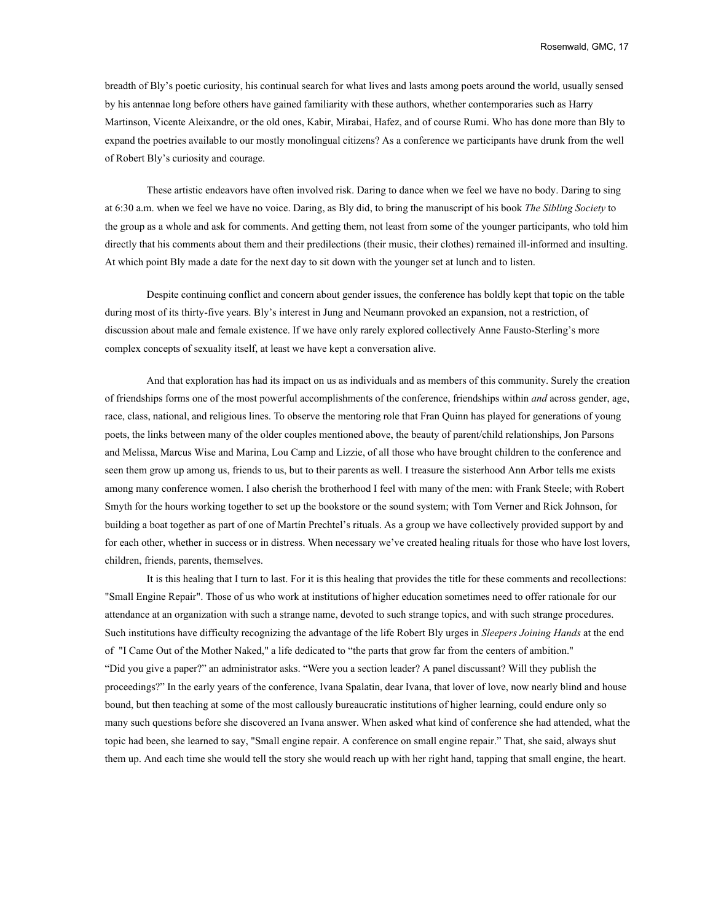breadth of Bly's poetic curiosity, his continual search for what lives and lasts among poets around the world, usually sensed by his antennae long before others have gained familiarity with these authors, whether contemporaries such as Harry Martinson, Vicente Aleixandre, or the old ones, Kabir, Mirabai, Hafez, and of course Rumi. Who has done more than Bly to expand the poetries available to our mostly monolingual citizens? As a conference we participants have drunk from the well of Robert Bly's curiosity and courage.

These artistic endeavors have often involved risk. Daring to dance when we feel we have no body. Daring to sing at 6:30 a.m. when we feel we have no voice. Daring, as Bly did, to bring the manuscript of his book *The Sibling Society* to the group as a whole and ask for comments. And getting them, not least from some of the younger participants, who told him directly that his comments about them and their predilections (their music, their clothes) remained ill-informed and insulting. At which point Bly made a date for the next day to sit down with the younger set at lunch and to listen.

Despite continuing conflict and concern about gender issues, the conference has boldly kept that topic on the table during most of its thirty-five years. Bly's interest in Jung and Neumann provoked an expansion, not a restriction, of discussion about male and female existence. If we have only rarely explored collectively Anne Fausto-Sterling's more complex concepts of sexuality itself, at least we have kept a conversation alive.

And that exploration has had its impact on us as individuals and as members of this community. Surely the creation of friendships forms one of the most powerful accomplishments of the conference, friendships within *and* across gender, age, race, class, national, and religious lines. To observe the mentoring role that Fran Quinn has played for generations of young poets, the links between many of the older couples mentioned above, the beauty of parent/child relationships, Jon Parsons and Melissa, Marcus Wise and Marina, Lou Camp and Lizzie, of all those who have brought children to the conference and seen them grow up among us, friends to us, but to their parents as well. I treasure the sisterhood Ann Arbor tells me exists among many conference women. I also cherish the brotherhood I feel with many of the men: with Frank Steele; with Robert Smyth for the hours working together to set up the bookstore or the sound system; with Tom Verner and Rick Johnson, for building a boat together as part of one of Martín Prechtel's rituals. As a group we have collectively provided support by and for each other, whether in success or in distress. When necessary we've created healing rituals for those who have lost lovers, children, friends, parents, themselves.

It is this healing that I turn to last. For it is this healing that provides the title for these comments and recollections: "Small Engine Repair". Those of us who work at institutions of higher education sometimes need to offer rationale for our attendance at an organization with such a strange name, devoted to such strange topics, and with such strange procedures. Such institutions have difficulty recognizing the advantage of the life Robert Bly urges in *Sleepers Joining Hands* at the end of "I Came Out of the Mother Naked," a life dedicated to "the parts that grow far from the centers of ambition." "Did you give a paper?" an administrator asks. "Were you a section leader? A panel discussant? Will they publish the proceedings?" In the early years of the conference, Ivana Spalatin, dear Ivana, that lover of love, now nearly blind and house bound, but then teaching at some of the most callously bureaucratic institutions of higher learning, could endure only so many such questions before she discovered an Ivana answer. When asked what kind of conference she had attended, what the topic had been, she learned to say, "Small engine repair. A conference on small engine repair." That, she said, always shut them up. And each time she would tell the story she would reach up with her right hand, tapping that small engine, the heart.